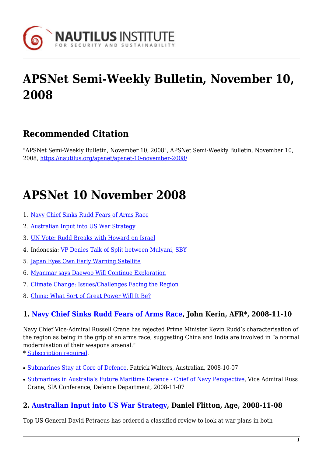

# **APSNet Semi-Weekly Bulletin, November 10, 2008**

# **Recommended Citation**

"APSNet Semi-Weekly Bulletin, November 10, 2008", APSNet Semi-Weekly Bulletin, November 10, 2008, <https://nautilus.org/apsnet/apsnet-10-november-2008/>

# **APSNet 10 November 2008**

- 1. [Navy Chief Sinks Rudd Fears of Arms Race](#page-0-0)
- 2. [Australian Input into US War Strategy](#page-0-1)
- 3. [UN Vote: Rudd Breaks with Howard on Israel](#page-1-0)
- 4. Indonesia: [VP Denies Talk of Split between Mulyani, SBY](#page-1-1)
- 5. [Japan Eyes Own Early Warning Satellite](#page--1-0)
- 6. [Myanmar says Daewoo Will Continue Exploration](#page-1-2)
- 7. [Climate Change: Issues/Challenges Facing the Region](#page-1-3)
- 8. [China: What Sort of Great Power Will It Be?](#page-1-4)

# <span id="page-0-0"></span>**1. [Navy Chief Sinks Rudd Fears of Arms Race,](http://www.afr.com/home/viewer.aspx?ATL://20081110000030519541§ion=search&title=Navy chief sinks Rudd fears of arms race) John Kerin, AFR\*, 2008-11-10**

Navy Chief Vice-Admiral Russell Crane has rejected Prime Minister Kevin Rudd's characterisation of the region as being in the grip of an arms race, suggesting China and India are involved in "a normal modernisation of their weapons arsenal."

\* [Subscription required.](http://nautilus.org/subscription.html)

- [Submarines Stay at Core of Defence](http://www.theaustralian.news.com.au/story/0,25197,24614437-31477,00.html), Patrick Walters, Australian, 2008-10-07
- [Submarines in Australia's Future Maritime Defence Chief of Navy Perspective,](http://www.defence.gov.au/media/SpeechTpl.cfm?CurrentId=8420) Vice Admiral Russ Crane, SIA Conference, Defence Department, 2008-11-07

# <span id="page-0-1"></span>**2. [Australian Input into US War Strategy,](http://www.theage.com.au/world/australian-input-into-us-war-strategy-20081107-5k7c.html) Daniel Flitton, Age, 2008-11-08**

Top US General David Petraeus has ordered a classified review to look at war plans in both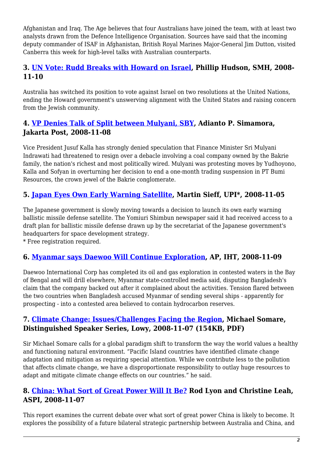Afghanistan and Iraq. The Age believes that four Australians have joined the team, with at least two analysts drawn from the Defence Intelligence Organisation. Sources have said that the incoming deputy commander of ISAF in Afghanistan, British Royal Marines Major-General Jim Dutton, visited Canberra this week for high-level talks with Australian counterparts.

### <span id="page-1-0"></span>**3. [UN Vote: Rudd Breaks with Howard on Israel,](http://www.smh.com.au/news/national/rudd-breaks-with-howard-on-israel/2008/11/09/1226165386581.html) Phillip Hudson, SMH, 2008- 11-10**

Australia has switched its position to vote against Israel on two resolutions at the United Nations, ending the Howard government's unswerving alignment with the United States and raising concern from the Jewish community.

# <span id="page-1-1"></span>**4. [VP Denies Talk of Split between Mulyani, SBY,](http://www.thejakartapost.com/news/2008/11/08/vp-denies-talk-split-between-mulyani-sby.html) Adianto P. Simamora, Jakarta Post, 2008-11-08**

Vice President Jusuf Kalla has strongly denied speculation that Finance Minister Sri Mulyani Indrawati had threatened to resign over a debacle involving a coal company owned by the Bakrie family, the nation's richest and most politically wired. Mulyani was protesting moves by Yudhoyono, Kalla and Sofyan in overturning her decision to end a one-month trading suspension in PT Bumi Resources, the crown jewel of the Bakrie conglomerate.

# **5. [Japan Eyes Own Early Warning Satellite,](http://www.upi.com/Security_Industry/2008/11/05/Japanese_government_inches_toward_own_early_warning_satellite/UPI-91761225897341/) Martin Sieff, UPI\*, 2008-11-05**

The Japanese government is slowly moving towards a decision to launch its own early warning ballistic missile defense satellite. The Yomiuri Shimbun newspaper said it had received access to a draft plan for ballistic missile defense drawn up by the secretariat of the Japanese government's headquarters for space development strategy.

\* Free registration required.

# <span id="page-1-2"></span>**6. [Myanmar says Daewoo Will Continue Exploration,](http://www.iht.com/articles/ap/2008/11/09/asia/AS-Myanmar-Bangladesh.php) AP, IHT, 2008-11-09**

Daewoo International Corp has completed its oil and gas exploration in contested waters in the Bay of Bengal and will drill elsewhere, Myanmar state-controlled media said, disputing Bangladesh's claim that the company backed out after it complained about the activities. Tension flared between the two countries when Bangladesh accused Myanmar of sending several ships - apparently for prospecting - into a contested area believed to contain hydrocarbon reserves.

### <span id="page-1-3"></span>**7. [Climate Change: Issues/Challenges Facing the Region,](http://lowyinstitute.richmedia-server.com/sound/Pacific_regional_challenges.pdf) Michael Somare, Distinguished Speaker Series, Lowy, 2008-11-07 (154KB, PDF)**

Sir Michael Somare calls for a global paradigm shift to transform the way the world values a healthy and functioning natural environment. "Pacific Island countries have identified climate change adaptation and mitigation as requiring special attention. While we contribute less to the pollution that affects climate change, we have a disproportionate responsibility to outlay huge resources to adapt and mitigate climate change effects on our countries." he said.

# <span id="page-1-4"></span>**8. [China: What Sort of Great Power Will It Be?](http://www.aspi.org.au/publications/publication_details.aspx?ContentID=188&pubtype=9) Rod Lyon and Christine Leah, ASPI, 2008-11-07**

This report examines the current debate over what sort of great power China is likely to become. It explores the possibility of a future bilateral strategic partnership between Australia and China, and